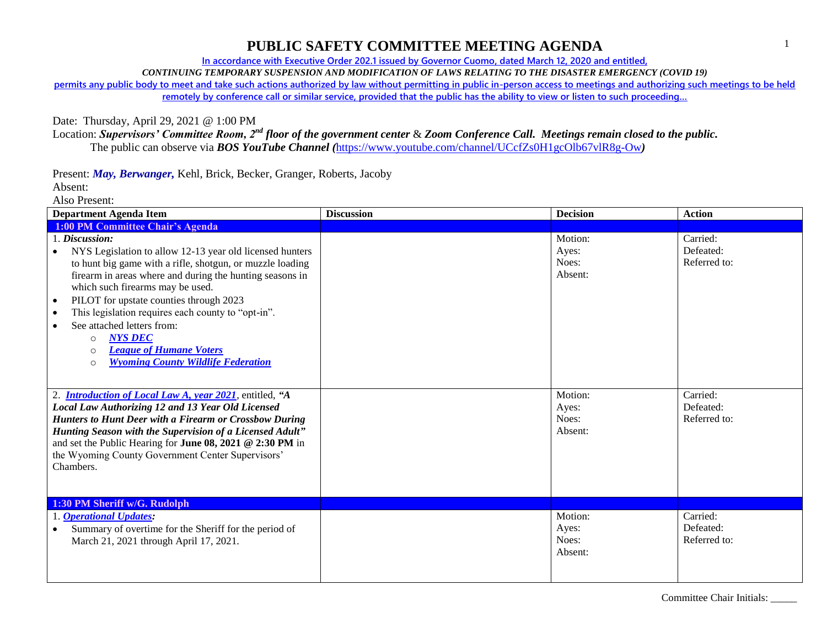**In accordance with Executive Order 202.1 issued by Governor Cuomo, dated March 12, 2020 and entitled,**

*CONTINUING TEMPORARY SUSPENSION AND MODIFICATION OF LAWS RELATING TO THE DISASTER EMERGENCY (COVID 19)*

**permits any public body to meet and take such actions authorized by law without permitting in public in-person access to meetings and authorizing such meetings to be held**  remotely by conference call or similar service, provided that the public has the ability to view or listen to such proceeding...

Date: Thursday, April 29, 2021 @ 1:00 PM

Location: *Supervisors' Committee Room, 2nd floor of the government center* & *Zoom Conference Call. Meetings remain closed to the public.* The public can observe via *BOS YouTube Channel (*<https://www.youtube.com/channel/UCcfZs0H1gcOlb67vlR8g-Ow>*)*

Present: *May, Berwanger,* Kehl, Brick, Becker, Granger, Roberts, Jacoby

Absent:

Also Present:

| <b>Department Agenda Item</b>                                                                                                                                                                                                                                                                                                                                                                                                                                                                                                      | <b>Discussion</b> | <b>Decision</b>                      | <b>Action</b>                         |
|------------------------------------------------------------------------------------------------------------------------------------------------------------------------------------------------------------------------------------------------------------------------------------------------------------------------------------------------------------------------------------------------------------------------------------------------------------------------------------------------------------------------------------|-------------------|--------------------------------------|---------------------------------------|
| <b>1:00 PM Committee Chair's Agenda</b>                                                                                                                                                                                                                                                                                                                                                                                                                                                                                            |                   |                                      |                                       |
| 1. Discussion:<br>NYS Legislation to allow 12-13 year old licensed hunters<br>to hunt big game with a rifle, shotgun, or muzzle loading<br>firearm in areas where and during the hunting seasons in<br>which such firearms may be used.<br>PILOT for upstate counties through 2023<br>$\bullet$<br>This legislation requires each county to "opt-in".<br>$\bullet$<br>See attached letters from:<br><b>NYS DEC</b><br>$\circ$<br><b>League of Humane Voters</b><br>$\circ$<br><b>Wyoming County Wildlife Federation</b><br>$\circ$ |                   | Motion:<br>Ayes:<br>Noes:<br>Absent: | Carried:<br>Defeated:<br>Referred to: |
| 2. <i>Introduction of Local Law A, year 2021</i> , entitled, "A<br>Local Law Authorizing 12 and 13 Year Old Licensed<br>Hunters to Hunt Deer with a Firearm or Crossbow During<br>Hunting Season with the Supervision of a Licensed Adult"<br>and set the Public Hearing for June 08, 2021 @ 2:30 PM in<br>the Wyoming County Government Center Supervisors'<br>Chambers.                                                                                                                                                          |                   | Motion:<br>Ayes:<br>Noes:<br>Absent: | Carried:<br>Defeated:<br>Referred to: |
| 1:30 PM Sheriff w/G. Rudolph<br><b>Operational Updates:</b><br>Summary of overtime for the Sheriff for the period of<br>March 21, 2021 through April 17, 2021.                                                                                                                                                                                                                                                                                                                                                                     |                   | Motion:<br>Ayes:<br>Noes:            | Carried:<br>Defeated:<br>Referred to: |
|                                                                                                                                                                                                                                                                                                                                                                                                                                                                                                                                    |                   | Absent:                              |                                       |

1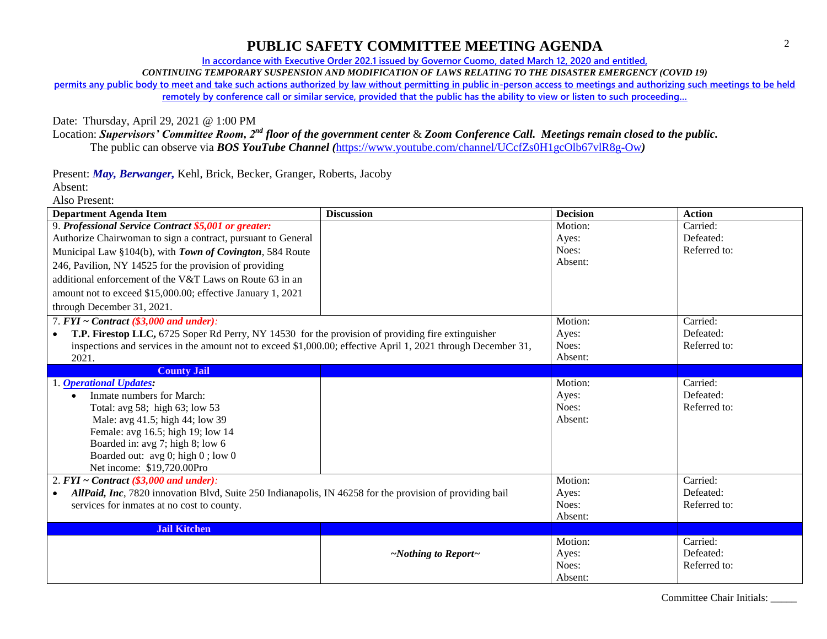**In accordance with Executive Order 202.1 issued by Governor Cuomo, dated March 12, 2020 and entitled,**

*CONTINUING TEMPORARY SUSPENSION AND MODIFICATION OF LAWS RELATING TO THE DISASTER EMERGENCY (COVID 19)*

**permits any public body to meet and take such actions authorized by law without permitting in public in-person access to meetings and authorizing such meetings to be held**  remotely by conference call or similar service, provided that the public has the ability to view or listen to such proceeding...

Date: Thursday, April 29, 2021 @ 1:00 PM

Location: *Supervisors' Committee Room, 2nd floor of the government center* & *Zoom Conference Call. Meetings remain closed to the public.* The public can observe via *BOS YouTube Channel (*<https://www.youtube.com/channel/UCcfZs0H1gcOlb67vlR8g-Ow>*)*

Present: *May, Berwanger,* Kehl, Brick, Becker, Granger, Roberts, Jacoby

Absent: Also Present:

| <b>Department Agenda Item</b>                                                                                         | <b>Discussion</b>               | <b>Decision</b> | <b>Action</b> |
|-----------------------------------------------------------------------------------------------------------------------|---------------------------------|-----------------|---------------|
| 9. Professional Service Contract \$5,001 or greater:                                                                  |                                 | Motion:         | Carried:      |
| Authorize Chairwoman to sign a contract, pursuant to General                                                          |                                 | Ayes:           | Defeated:     |
| Municipal Law §104(b), with Town of Covington, 584 Route                                                              |                                 | Noes:           | Referred to:  |
| 246, Pavilion, NY 14525 for the provision of providing                                                                |                                 | Absent:         |               |
| additional enforcement of the V&T Laws on Route 63 in an                                                              |                                 |                 |               |
| amount not to exceed \$15,000.00; effective January 1, 2021                                                           |                                 |                 |               |
| through December 31, 2021.                                                                                            |                                 |                 |               |
| 7. $FYI \sim Contract$ (\$3,000 and under):                                                                           |                                 | Motion:         | Carried:      |
| <b>T.P. Firestop LLC, 6725 Soper Rd Perry, NY 14530 for the provision of providing fire extinguisher</b>              |                                 | Ayes:           | Defeated:     |
| inspections and services in the amount not to exceed \$1,000.00; effective April 1, 2021 through December 31,         |                                 | Noes:           | Referred to:  |
| 2021.                                                                                                                 |                                 | Absent:         |               |
| <b>County Jail</b>                                                                                                    |                                 |                 |               |
| 1. Operational Updates:                                                                                               |                                 | Motion:         | Carried:      |
| Inmate numbers for March:                                                                                             |                                 | Ayes:           | Defeated:     |
| Total: avg 58; high 63; low 53                                                                                        |                                 | Noes:           | Referred to:  |
| Male: avg 41.5; high 44; low 39                                                                                       |                                 | Absent:         |               |
| Female: avg 16.5; high 19; low 14                                                                                     |                                 |                 |               |
| Boarded in: avg 7; high 8; low 6                                                                                      |                                 |                 |               |
| Boarded out: avg 0; high 0; low 0                                                                                     |                                 |                 |               |
| Net income: \$19,720.00Pro                                                                                            |                                 |                 |               |
| 2. $FYI \sim Contract$ (\$3,000 and under):                                                                           |                                 | Motion:         | Carried:      |
| AllPaid, Inc. 7820 innovation Blvd, Suite 250 Indianapolis, IN 46258 for the provision of providing bail<br>$\bullet$ |                                 | Ayes:           | Defeated:     |
| services for inmates at no cost to county.                                                                            |                                 | Noes:           | Referred to:  |
|                                                                                                                       |                                 | Absent:         |               |
| <b>Jail Kitchen</b>                                                                                                   |                                 |                 |               |
|                                                                                                                       |                                 | Motion:         | Carried:      |
|                                                                                                                       | $\sim$ Nothing to Report $\sim$ | Ayes:           | Defeated:     |
|                                                                                                                       |                                 | Noes:           | Referred to:  |
|                                                                                                                       |                                 | Absent:         |               |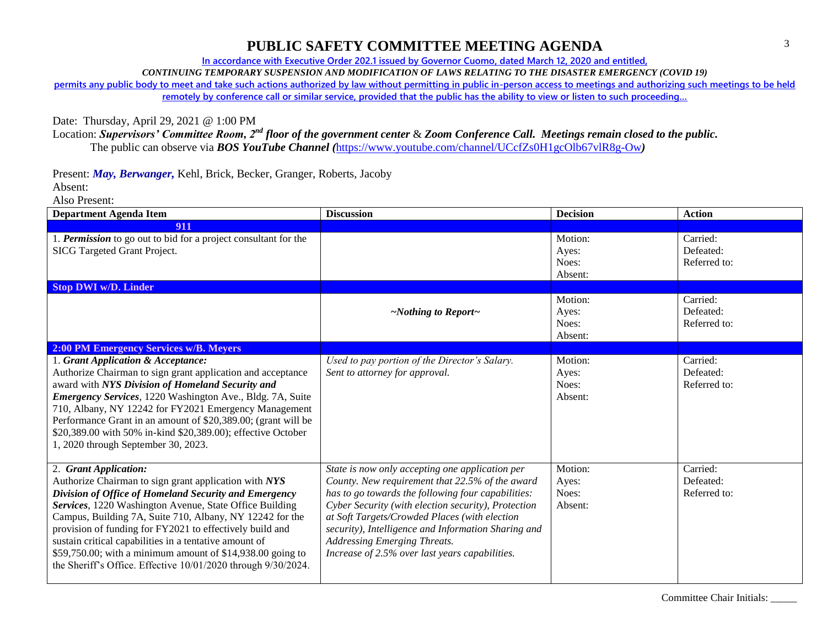**In accordance with Executive Order 202.1 issued by Governor Cuomo, dated March 12, 2020 and entitled,**

*CONTINUING TEMPORARY SUSPENSION AND MODIFICATION OF LAWS RELATING TO THE DISASTER EMERGENCY (COVID 19)*

**permits any public body to meet and take such actions authorized by law without permitting in public in-person access to meetings and authorizing such meetings to be held**  remotely by conference call or similar service, provided that the public has the ability to view or listen to such proceeding...

Date: Thursday, April 29, 2021 @ 1:00 PM

Location: *Supervisors' Committee Room, 2nd floor of the government center* & *Zoom Conference Call. Meetings remain closed to the public.* The public can observe via *BOS YouTube Channel (*<https://www.youtube.com/channel/UCcfZs0H1gcOlb67vlR8g-Ow>*)*

Present: *May, Berwanger,* Kehl, Brick, Becker, Granger, Roberts, Jacoby

Absent:

Also Present:

| <b>Department Agenda Item</b>                                                                                                                                                                                                                                                                                                                                                                                                                                                                                       | <b>Discussion</b>                                                                                                                                                                                                                                                                                                                                                                                                | <b>Decision</b>                      | <b>Action</b>                         |
|---------------------------------------------------------------------------------------------------------------------------------------------------------------------------------------------------------------------------------------------------------------------------------------------------------------------------------------------------------------------------------------------------------------------------------------------------------------------------------------------------------------------|------------------------------------------------------------------------------------------------------------------------------------------------------------------------------------------------------------------------------------------------------------------------------------------------------------------------------------------------------------------------------------------------------------------|--------------------------------------|---------------------------------------|
| 911                                                                                                                                                                                                                                                                                                                                                                                                                                                                                                                 |                                                                                                                                                                                                                                                                                                                                                                                                                  |                                      |                                       |
| 1. Permission to go out to bid for a project consultant for the<br>SICG Targeted Grant Project.                                                                                                                                                                                                                                                                                                                                                                                                                     |                                                                                                                                                                                                                                                                                                                                                                                                                  | Motion:<br>Ayes:<br>Noes:<br>Absent: | Carried:<br>Defeated:<br>Referred to: |
| <b>Stop DWI w/D. Linder</b>                                                                                                                                                                                                                                                                                                                                                                                                                                                                                         |                                                                                                                                                                                                                                                                                                                                                                                                                  |                                      |                                       |
|                                                                                                                                                                                                                                                                                                                                                                                                                                                                                                                     | $\sim$ Nothing to Report $\sim$                                                                                                                                                                                                                                                                                                                                                                                  | Motion:<br>Ayes:<br>Noes:<br>Absent: | Carried:<br>Defeated:<br>Referred to: |
| <b>2:00 PM Emergency Services w/B. Meyers</b>                                                                                                                                                                                                                                                                                                                                                                                                                                                                       |                                                                                                                                                                                                                                                                                                                                                                                                                  |                                      |                                       |
| 1. Grant Application & Acceptance:<br>Authorize Chairman to sign grant application and acceptance<br>award with NYS Division of Homeland Security and<br>Emergency Services, 1220 Washington Ave., Bldg. 7A, Suite<br>710, Albany, NY 12242 for FY2021 Emergency Management<br>Performance Grant in an amount of \$20,389.00; (grant will be<br>\$20,389.00 with 50% in-kind \$20,389.00); effective October<br>1, 2020 through September 30, 2023.                                                                 | Used to pay portion of the Director's Salary.<br>Sent to attorney for approval.                                                                                                                                                                                                                                                                                                                                  | Motion:<br>Ayes:<br>Noes:<br>Absent: | Carried:<br>Defeated:<br>Referred to: |
| 2. Grant Application:<br>Authorize Chairman to sign grant application with NYS<br>Division of Office of Homeland Security and Emergency<br>Services, 1220 Washington Avenue, State Office Building<br>Campus, Building 7A, Suite 710, Albany, NY 12242 for the<br>provision of funding for FY2021 to effectively build and<br>sustain critical capabilities in a tentative amount of<br>\$59,750.00; with a minimum amount of \$14,938.00 going to<br>the Sheriff's Office. Effective 10/01/2020 through 9/30/2024. | State is now only accepting one application per<br>County. New requirement that 22.5% of the award<br>has to go towards the following four capabilities:<br>Cyber Security (with election security), Protection<br>at Soft Targets/Crowded Places (with election<br>security), Intelligence and Information Sharing and<br><b>Addressing Emerging Threats.</b><br>Increase of 2.5% over last years capabilities. | Motion:<br>Ayes:<br>Noes:<br>Absent: | Carried:<br>Defeated:<br>Referred to: |

Committee Chair Initials: \_\_\_\_\_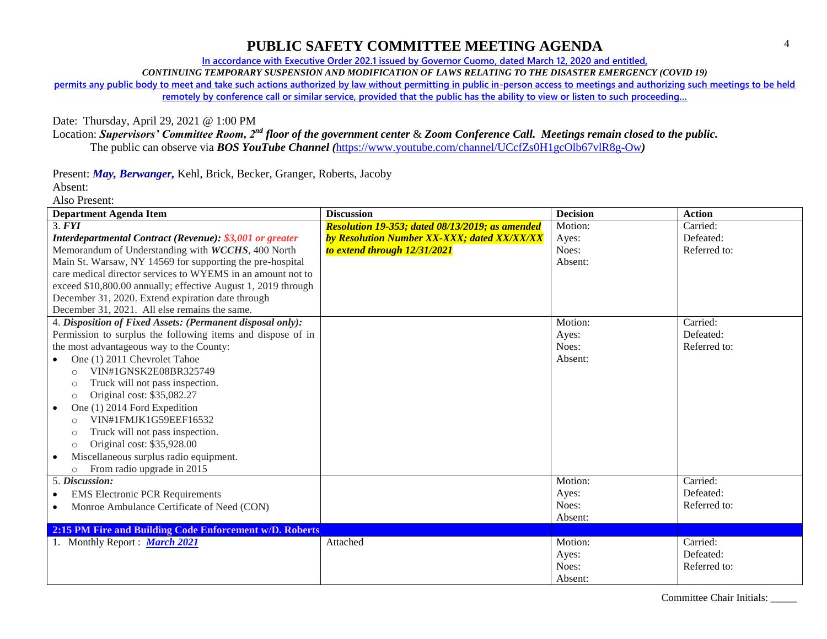**In accordance with Executive Order 202.1 issued by Governor Cuomo, dated March 12, 2020 and entitled,**

*CONTINUING TEMPORARY SUSPENSION AND MODIFICATION OF LAWS RELATING TO THE DISASTER EMERGENCY (COVID 19)*

**permits any public body to meet and take such actions authorized by law without permitting in public in-person access to meetings and authorizing such meetings to be held** 

remotely by conference call or similar service, provided that the public has the ability to view or listen to such proceeding...

#### Date: Thursday, April 29, 2021 @ 1:00 PM

Location: *Supervisors' Committee Room, 2nd floor of the government center* & *Zoom Conference Call. Meetings remain closed to the public.* The public can observe via *BOS YouTube Channel (*<https://www.youtube.com/channel/UCcfZs0H1gcOlb67vlR8g-Ow>*)*

Present: *May, Berwanger,* Kehl, Brick, Becker, Granger, Roberts, Jacoby

Absent:

Also Present:

| <b>Department Agenda Item</b>                                 | <b>Discussion</b>                                  | <b>Decision</b> | <b>Action</b> |
|---------------------------------------------------------------|----------------------------------------------------|-----------------|---------------|
| 3. <b>FYI</b>                                                 | Resolution 19-353; dated 08/13/2019; as amended    | Motion:         | Carried:      |
| Interdepartmental Contract (Revenue): \$3,001 or greater      | <b>by Resolution Number XX-XXX; dated XX/XX/XX</b> | Ayes:           | Defeated:     |
| Memorandum of Understanding with WCCHS, 400 North             | to extend through 12/31/2021                       | Noes:           | Referred to:  |
| Main St. Warsaw, NY 14569 for supporting the pre-hospital     |                                                    | Absent:         |               |
| care medical director services to WYEMS in an amount not to   |                                                    |                 |               |
| exceed \$10,800.00 annually; effective August 1, 2019 through |                                                    |                 |               |
| December 31, 2020. Extend expiration date through             |                                                    |                 |               |
| December 31, 2021. All else remains the same.                 |                                                    |                 |               |
| 4. Disposition of Fixed Assets: (Permanent disposal only):    |                                                    | Motion:         | Carried:      |
| Permission to surplus the following items and dispose of in   |                                                    | Ayes:           | Defeated:     |
| the most advantageous way to the County:                      |                                                    | Noes:           | Referred to:  |
| One (1) 2011 Chevrolet Tahoe                                  |                                                    | Absent:         |               |
| VIN#1GNSK2E08BR325749<br>$\circ$                              |                                                    |                 |               |
| Truck will not pass inspection.<br>$\circ$                    |                                                    |                 |               |
| Original cost: \$35,082.27<br>$\circ$                         |                                                    |                 |               |
| One (1) 2014 Ford Expedition<br>$\bullet$                     |                                                    |                 |               |
| VIN#1FMJK1G59EEF16532<br>$\circ$                              |                                                    |                 |               |
| Truck will not pass inspection.<br>$\circ$                    |                                                    |                 |               |
| Original cost: \$35,928.00<br>$\circ$                         |                                                    |                 |               |
| Miscellaneous surplus radio equipment.<br>$\bullet$           |                                                    |                 |               |
| From radio upgrade in 2015<br>$\circ$                         |                                                    |                 |               |
| 5. Discussion:                                                |                                                    | Motion:         | Carried:      |
| <b>EMS Electronic PCR Requirements</b>                        |                                                    | Ayes:           | Defeated:     |
| Monroe Ambulance Certificate of Need (CON)<br>$\bullet$       |                                                    | Noes:           | Referred to:  |
|                                                               |                                                    | Absent:         |               |
| 2:15 PM Fire and Building Code Enforcement w/D. Roberts       |                                                    |                 |               |
| 1. Monthly Report : March 2021                                | Attached                                           | Motion:         | Carried:      |
|                                                               |                                                    | Ayes:           | Defeated:     |
|                                                               |                                                    | Noes:           | Referred to:  |
|                                                               |                                                    | Absent:         |               |